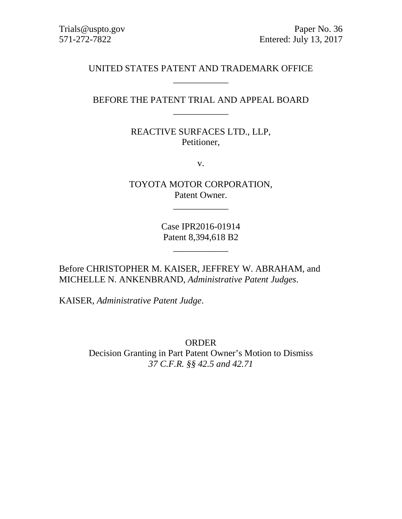# UNITED STATES PATENT AND TRADEMARK OFFICE \_\_\_\_\_\_\_\_\_\_\_\_

# BEFORE THE PATENT TRIAL AND APPEAL BOARD \_\_\_\_\_\_\_\_\_\_\_\_

REACTIVE SURFACES LTD., LLP, Petitioner,

v.

TOYOTA MOTOR CORPORATION, Patent Owner.

 $\overline{\phantom{a}}$   $\overline{\phantom{a}}$   $\overline{\phantom{a}}$   $\overline{\phantom{a}}$   $\overline{\phantom{a}}$   $\overline{\phantom{a}}$   $\overline{\phantom{a}}$   $\overline{\phantom{a}}$   $\overline{\phantom{a}}$   $\overline{\phantom{a}}$   $\overline{\phantom{a}}$   $\overline{\phantom{a}}$   $\overline{\phantom{a}}$   $\overline{\phantom{a}}$   $\overline{\phantom{a}}$   $\overline{\phantom{a}}$   $\overline{\phantom{a}}$   $\overline{\phantom{a}}$   $\overline{\$ 

Case IPR2016-01914 Patent 8,394,618 B2

\_\_\_\_\_\_\_\_\_\_\_\_

Before CHRISTOPHER M. KAISER, JEFFREY W. ABRAHAM, and MICHELLE N. ANKENBRAND, *Administrative Patent Judges*.

KAISER, *Administrative Patent Judge*.

ORDER Decision Granting in Part Patent Owner's Motion to Dismiss *37 C.F.R. §§ 42.5 and 42.71*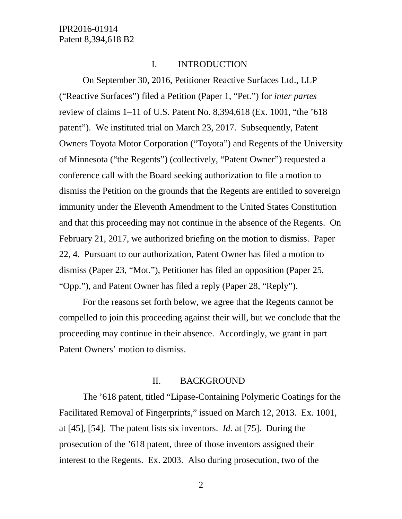#### I. INTRODUCTION

On September 30, 2016, Petitioner Reactive Surfaces Ltd., LLP ("Reactive Surfaces") filed a Petition (Paper 1, "Pet.") for *inter partes* review of claims 1–11 of U.S. Patent No. 8,394,618 (Ex. 1001, "the '618 patent"). We instituted trial on March 23, 2017. Subsequently, Patent Owners Toyota Motor Corporation ("Toyota") and Regents of the University of Minnesota ("the Regents") (collectively, "Patent Owner") requested a conference call with the Board seeking authorization to file a motion to dismiss the Petition on the grounds that the Regents are entitled to sovereign immunity under the Eleventh Amendment to the United States Constitution and that this proceeding may not continue in the absence of the Regents. On February 21, 2017, we authorized briefing on the motion to dismiss. Paper 22, 4. Pursuant to our authorization, Patent Owner has filed a motion to dismiss (Paper 23, "Mot."), Petitioner has filed an opposition (Paper 25, "Opp."), and Patent Owner has filed a reply (Paper 28, "Reply").

For the reasons set forth below, we agree that the Regents cannot be compelled to join this proceeding against their will, but we conclude that the proceeding may continue in their absence. Accordingly, we grant in part Patent Owners' motion to dismiss.

#### II. BACKGROUND

The '618 patent, titled "Lipase-Containing Polymeric Coatings for the Facilitated Removal of Fingerprints," issued on March 12, 2013. Ex. 1001, at [45], [54]. The patent lists six inventors. *Id.* at [75]. During the prosecution of the '618 patent, three of those inventors assigned their interest to the Regents. Ex. 2003. Also during prosecution, two of the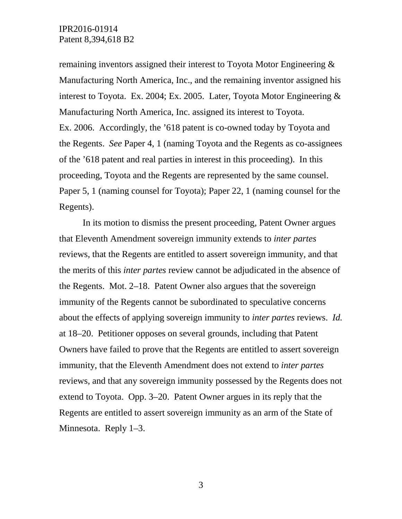remaining inventors assigned their interest to Toyota Motor Engineering & Manufacturing North America, Inc., and the remaining inventor assigned his interest to Toyota. Ex. 2004; Ex. 2005. Later, Toyota Motor Engineering & Manufacturing North America, Inc. assigned its interest to Toyota. Ex. 2006. Accordingly, the '618 patent is co-owned today by Toyota and the Regents. *See* Paper 4, 1 (naming Toyota and the Regents as co-assignees of the '618 patent and real parties in interest in this proceeding). In this proceeding, Toyota and the Regents are represented by the same counsel. Paper 5, 1 (naming counsel for Toyota); Paper 22, 1 (naming counsel for the Regents).

In its motion to dismiss the present proceeding, Patent Owner argues that Eleventh Amendment sovereign immunity extends to *inter partes* reviews, that the Regents are entitled to assert sovereign immunity, and that the merits of this *inter partes* review cannot be adjudicated in the absence of the Regents. Mot. 2–18. Patent Owner also argues that the sovereign immunity of the Regents cannot be subordinated to speculative concerns about the effects of applying sovereign immunity to *inter partes* reviews. *Id.* at 18–20. Petitioner opposes on several grounds, including that Patent Owners have failed to prove that the Regents are entitled to assert sovereign immunity, that the Eleventh Amendment does not extend to *inter partes* reviews, and that any sovereign immunity possessed by the Regents does not extend to Toyota. Opp. 3–20. Patent Owner argues in its reply that the Regents are entitled to assert sovereign immunity as an arm of the State of Minnesota. Reply 1–3.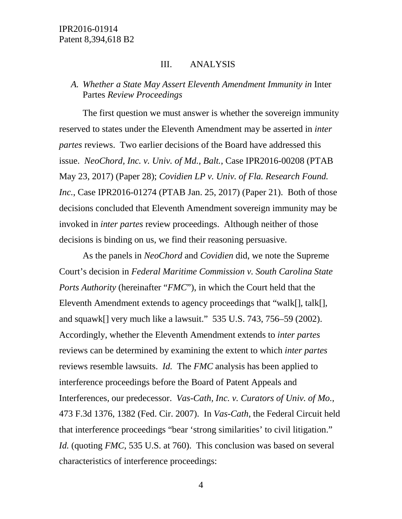#### III. ANALYSIS

## *A. Whether a State May Assert Eleventh Amendment Immunity in* Inter Partes *Review Proceedings*

The first question we must answer is whether the sovereign immunity reserved to states under the Eleventh Amendment may be asserted in *inter partes* reviews. Two earlier decisions of the Board have addressed this issue. *NeoChord, Inc. v. Univ. of Md., Balt.*, Case IPR2016-00208 (PTAB May 23, 2017) (Paper 28); *Covidien LP v. Univ. of Fla. Research Found. Inc.*, Case IPR2016-01274 (PTAB Jan. 25, 2017) (Paper 21). Both of those decisions concluded that Eleventh Amendment sovereign immunity may be invoked in *inter partes* review proceedings. Although neither of those decisions is binding on us, we find their reasoning persuasive.

As the panels in *NeoChord* and *Covidien* did, we note the Supreme Court's decision in *Federal Maritime Commission v. South Carolina State Ports Authority* (hereinafter "*FMC*"), in which the Court held that the Eleventh Amendment extends to agency proceedings that "walk[], talk[], and squawk[] very much like a lawsuit." 535 U.S. 743, 756–59 (2002). Accordingly, whether the Eleventh Amendment extends to *inter partes* reviews can be determined by examining the extent to which *inter partes* reviews resemble lawsuits. *Id.* The *FMC* analysis has been applied to interference proceedings before the Board of Patent Appeals and Interferences, our predecessor. *Vas-Cath, Inc. v. Curators of Univ. of Mo.*, 473 F.3d 1376, 1382 (Fed. Cir. 2007). In *Vas-Cath*, the Federal Circuit held that interference proceedings "bear 'strong similarities' to civil litigation." *Id.* (quoting *FMC*, 535 U.S. at 760). This conclusion was based on several characteristics of interference proceedings: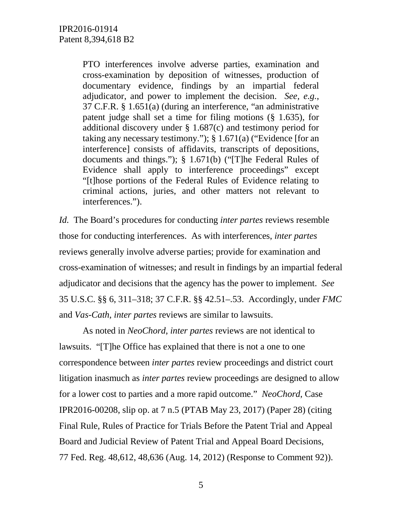PTO interferences involve adverse parties, examination and cross-examination by deposition of witnesses, production of documentary evidence, findings by an impartial federal adjudicator, and power to implement the decision. *See, e.g.*, 37 C.F.R. § 1.651(a) (during an interference, "an administrative patent judge shall set a time for filing motions (§ 1.635), for additional discovery under § 1.687(c) and testimony period for taking any necessary testimony."); § 1.671(a) ("Evidence [for an interference] consists of affidavits, transcripts of depositions, documents and things."); § 1.671(b) ("[T]he Federal Rules of Evidence shall apply to interference proceedings" except "[t]hose portions of the Federal Rules of Evidence relating to criminal actions, juries, and other matters not relevant to interferences.").

*Id.* The Board's procedures for conducting *inter partes* reviews resemble those for conducting interferences. As with interferences, *inter partes* reviews generally involve adverse parties; provide for examination and cross-examination of witnesses; and result in findings by an impartial federal adjudicator and decisions that the agency has the power to implement. *See* 35 U.S.C. §§ 6, 311–318; 37 C.F.R. §§ 42.51–.53. Accordingly, under *FMC* and *Vas-Cath*, *inter partes* reviews are similar to lawsuits.

As noted in *NeoChord*, *inter partes* reviews are not identical to lawsuits. "[T]he Office has explained that there is not a one to one correspondence between *inter partes* review proceedings and district court litigation inasmuch as *inter partes* review proceedings are designed to allow for a lower cost to parties and a more rapid outcome." *NeoChord*, Case IPR2016-00208, slip op. at 7 n.5 (PTAB May 23, 2017) (Paper 28) (citing Final Rule, Rules of Practice for Trials Before the Patent Trial and Appeal Board and Judicial Review of Patent Trial and Appeal Board Decisions, 77 Fed. Reg. 48,612, 48,636 (Aug. 14, 2012) (Response to Comment 92)).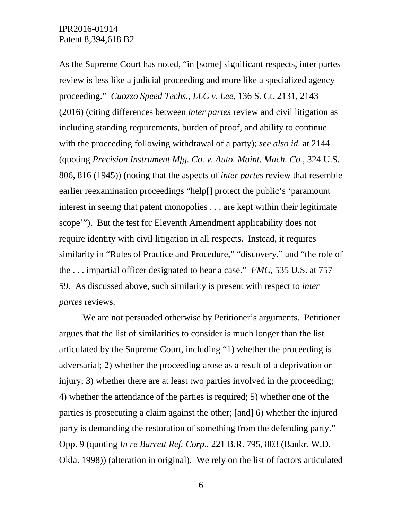As the Supreme Court has noted, "in [some] significant respects, inter partes review is less like a judicial proceeding and more like a specialized agency proceeding." *Cuozzo Speed Techs., LLC v. Lee*, 136 S. Ct. 2131, 2143 (2016) (citing differences between *inter partes* review and civil litigation as including standing requirements, burden of proof, and ability to continue with the proceeding following withdrawal of a party); *see also id.* at 2144 (quoting *Precision Instrument Mfg. Co. v. Auto. Maint. Mach. Co.*, 324 U.S. 806, 816 (1945)) (noting that the aspects of *inter partes* review that resemble earlier reexamination proceedings "help[] protect the public's 'paramount interest in seeing that patent monopolies . . . are kept within their legitimate scope'"). But the test for Eleventh Amendment applicability does not require identity with civil litigation in all respects. Instead, it requires similarity in "Rules of Practice and Procedure," "discovery," and "the role of the . . . impartial officer designated to hear a case." *FMC*, 535 U.S. at 757– 59. As discussed above, such similarity is present with respect to *inter partes* reviews.

We are not persuaded otherwise by Petitioner's arguments. Petitioner argues that the list of similarities to consider is much longer than the list articulated by the Supreme Court, including "1) whether the proceeding is adversarial; 2) whether the proceeding arose as a result of a deprivation or injury; 3) whether there are at least two parties involved in the proceeding; 4) whether the attendance of the parties is required; 5) whether one of the parties is prosecuting a claim against the other; [and] 6) whether the injured party is demanding the restoration of something from the defending party." Opp. 9 (quoting *In re Barrett Ref. Corp.*, 221 B.R. 795, 803 (Bankr. W.D. Okla. 1998)) (alteration in original). We rely on the list of factors articulated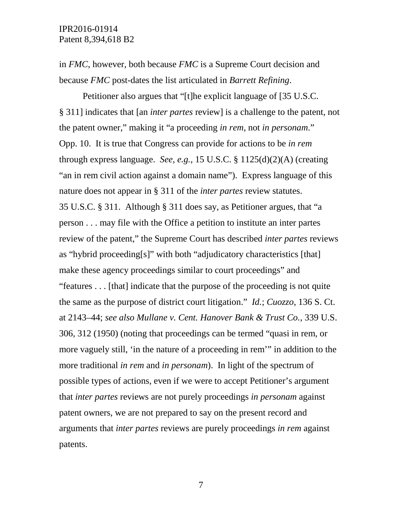in *FMC*, however, both because *FMC* is a Supreme Court decision and because *FMC* post-dates the list articulated in *Barrett Refining*.

Petitioner also argues that "[t]he explicit language of [35 U.S.C. § 311] indicates that [an *inter partes* review] is a challenge to the patent, not the patent owner," making it "a proceeding *in rem*, not *in personam*." Opp. 10. It is true that Congress can provide for actions to be *in rem* through express language. *See, e.g.*, 15 U.S.C. § 1125(d)(2)(A) (creating "an in rem civil action against a domain name"). Express language of this nature does not appear in § 311 of the *inter partes* review statutes. 35 U.S.C. § 311. Although § 311 does say, as Petitioner argues, that "a person . . . may file with the Office a petition to institute an inter partes review of the patent," the Supreme Court has described *inter partes* reviews as "hybrid proceeding[s]" with both "adjudicatory characteristics [that] make these agency proceedings similar to court proceedings" and "features . . . [that] indicate that the purpose of the proceeding is not quite the same as the purpose of district court litigation." *Id.*; *Cuozzo*, 136 S. Ct. at 2143–44; *see also Mullane v. Cent. Hanover Bank & Trust Co.*, 339 U.S. 306, 312 (1950) (noting that proceedings can be termed "quasi in rem, or more vaguely still, 'in the nature of a proceeding in rem'" in addition to the more traditional *in rem* and *in personam*). In light of the spectrum of possible types of actions, even if we were to accept Petitioner's argument that *inter partes* reviews are not purely proceedings *in personam* against patent owners, we are not prepared to say on the present record and arguments that *inter partes* reviews are purely proceedings *in rem* against patents.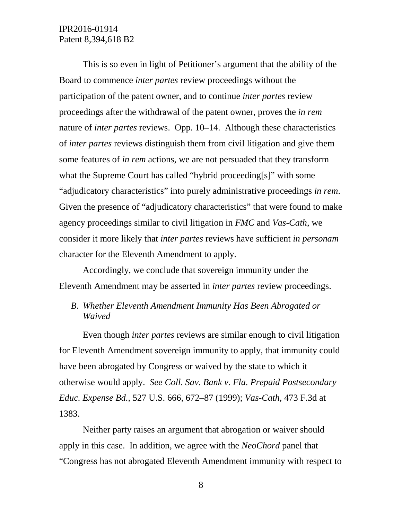This is so even in light of Petitioner's argument that the ability of the Board to commence *inter partes* review proceedings without the participation of the patent owner, and to continue *inter partes* review proceedings after the withdrawal of the patent owner, proves the *in rem* nature of *inter partes* reviews. Opp. 10–14. Although these characteristics of *inter partes* reviews distinguish them from civil litigation and give them some features of *in rem* actions, we are not persuaded that they transform what the Supreme Court has called "hybrid proceeding[s]" with some "adjudicatory characteristics" into purely administrative proceedings *in rem*. Given the presence of "adjudicatory characteristics" that were found to make agency proceedings similar to civil litigation in *FMC* and *Vas-Cath*, we consider it more likely that *inter partes* reviews have sufficient *in personam* character for the Eleventh Amendment to apply.

Accordingly, we conclude that sovereign immunity under the Eleventh Amendment may be asserted in *inter partes* review proceedings.

## *B. Whether Eleventh Amendment Immunity Has Been Abrogated or Waived*

Even though *inter partes* reviews are similar enough to civil litigation for Eleventh Amendment sovereign immunity to apply, that immunity could have been abrogated by Congress or waived by the state to which it otherwise would apply. *See Coll. Sav. Bank v. Fla. Prepaid Postsecondary Educ. Expense Bd.*, 527 U.S. 666, 672–87 (1999); *Vas-Cath*, 473 F.3d at 1383.

Neither party raises an argument that abrogation or waiver should apply in this case. In addition, we agree with the *NeoChord* panel that "Congress has not abrogated Eleventh Amendment immunity with respect to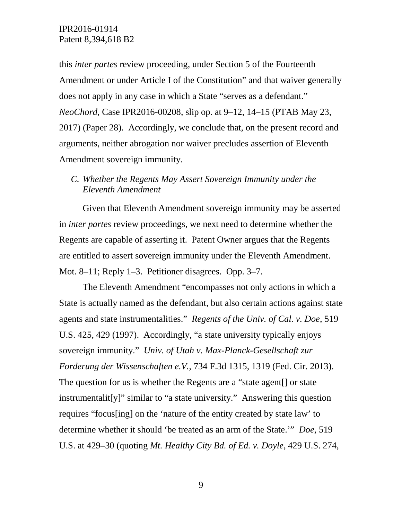this *inter partes* review proceeding, under Section 5 of the Fourteenth Amendment or under Article I of the Constitution" and that waiver generally does not apply in any case in which a State "serves as a defendant." *NeoChord*, Case IPR2016-00208, slip op. at 9–12, 14–15 (PTAB May 23, 2017) (Paper 28). Accordingly, we conclude that, on the present record and arguments, neither abrogation nor waiver precludes assertion of Eleventh Amendment sovereign immunity.

## *C. Whether the Regents May Assert Sovereign Immunity under the Eleventh Amendment*

Given that Eleventh Amendment sovereign immunity may be asserted in *inter partes* review proceedings, we next need to determine whether the Regents are capable of asserting it. Patent Owner argues that the Regents are entitled to assert sovereign immunity under the Eleventh Amendment. Mot. 8–11; Reply 1–3. Petitioner disagrees. Opp. 3–7.

The Eleventh Amendment "encompasses not only actions in which a State is actually named as the defendant, but also certain actions against state agents and state instrumentalities." *Regents of the Univ. of Cal. v. Doe*, 519 U.S. 425, 429 (1997). Accordingly, "a state university typically enjoys sovereign immunity." *Univ. of Utah v. Max-Planck-Gesellschaft zur Forderung der Wissenschaften e.V.*, 734 F.3d 1315, 1319 (Fed. Cir. 2013). The question for us is whether the Regents are a "state agent[] or state instrumentalit[y]" similar to "a state university." Answering this question requires "focus[ing] on the 'nature of the entity created by state law' to determine whether it should 'be treated as an arm of the State.'" *Doe*, 519 U.S. at 429–30 (quoting *Mt. Healthy City Bd. of Ed. v. Doyle*, 429 U.S. 274,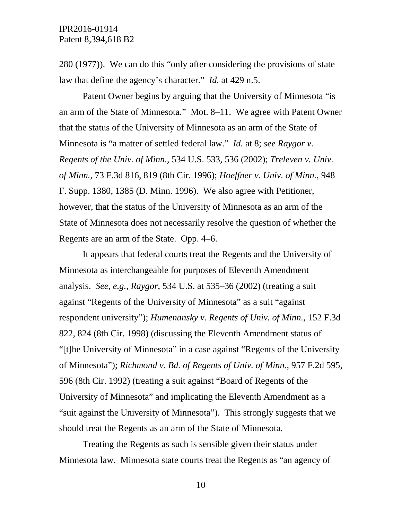280 (1977)). We can do this "only after considering the provisions of state law that define the agency's character." *Id.* at 429 n.5.

Patent Owner begins by arguing that the University of Minnesota "is an arm of the State of Minnesota." Mot. 8–11. We agree with Patent Owner that the status of the University of Minnesota as an arm of the State of Minnesota is "a matter of settled federal law." *Id.* at 8; *see Raygor v. Regents of the Univ. of Minn.*, 534 U.S. 533, 536 (2002); *Treleven v. Univ. of Minn.*, 73 F.3d 816, 819 (8th Cir. 1996); *Hoeffner v. Univ. of Minn.*, 948 F. Supp. 1380, 1385 (D. Minn. 1996). We also agree with Petitioner, however, that the status of the University of Minnesota as an arm of the State of Minnesota does not necessarily resolve the question of whether the Regents are an arm of the State. Opp. 4–6.

It appears that federal courts treat the Regents and the University of Minnesota as interchangeable for purposes of Eleventh Amendment analysis. *See, e.g.*, *Raygor*, 534 U.S. at 535–36 (2002) (treating a suit against "Regents of the University of Minnesota" as a suit "against respondent university"); *Humenansky v. Regents of Univ. of Minn.*, 152 F.3d 822, 824 (8th Cir. 1998) (discussing the Eleventh Amendment status of "[t]he University of Minnesota" in a case against "Regents of the University of Minnesota"); *Richmond v. Bd. of Regents of Univ. of Minn.*, 957 F.2d 595, 596 (8th Cir. 1992) (treating a suit against "Board of Regents of the University of Minnesota" and implicating the Eleventh Amendment as a "suit against the University of Minnesota"). This strongly suggests that we should treat the Regents as an arm of the State of Minnesota.

Treating the Regents as such is sensible given their status under Minnesota law. Minnesota state courts treat the Regents as "an agency of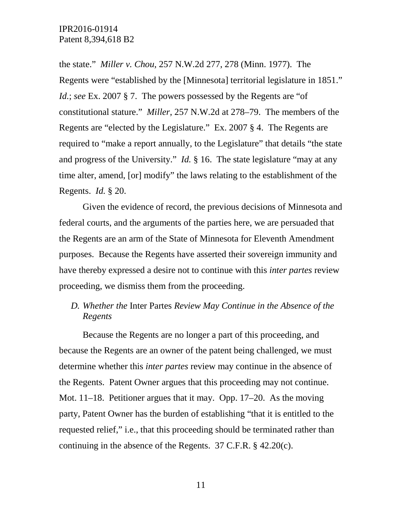the state." *Miller v. Chou*, 257 N.W.2d 277, 278 (Minn. 1977). The Regents were "established by the [Minnesota] territorial legislature in 1851." *Id.*; *see* Ex. 2007 § 7. The powers possessed by the Regents are "of constitutional stature." *Miller*, 257 N.W.2d at 278–79. The members of the Regents are "elected by the Legislature." Ex. 2007 § 4. The Regents are required to "make a report annually, to the Legislature" that details "the state and progress of the University." *Id.* § 16. The state legislature "may at any time alter, amend, [or] modify" the laws relating to the establishment of the Regents. *Id.* § 20.

Given the evidence of record, the previous decisions of Minnesota and federal courts, and the arguments of the parties here, we are persuaded that the Regents are an arm of the State of Minnesota for Eleventh Amendment purposes. Because the Regents have asserted their sovereign immunity and have thereby expressed a desire not to continue with this *inter partes* review proceeding, we dismiss them from the proceeding.

*D. Whether the* Inter Partes *Review May Continue in the Absence of the Regents*

Because the Regents are no longer a part of this proceeding, and because the Regents are an owner of the patent being challenged, we must determine whether this *inter partes* review may continue in the absence of the Regents. Patent Owner argues that this proceeding may not continue. Mot. 11–18. Petitioner argues that it may. Opp. 17–20. As the moving party, Patent Owner has the burden of establishing "that it is entitled to the requested relief," i.e., that this proceeding should be terminated rather than continuing in the absence of the Regents. 37 C.F.R. § 42.20(c).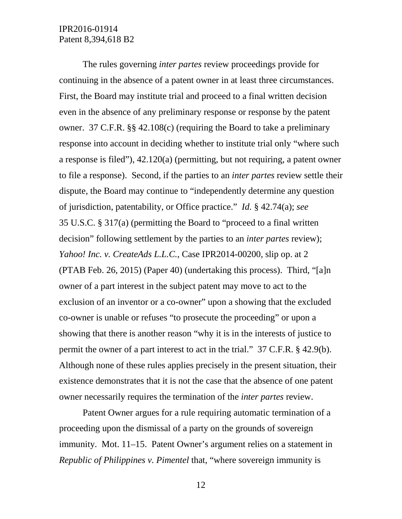The rules governing *inter partes* review proceedings provide for continuing in the absence of a patent owner in at least three circumstances. First, the Board may institute trial and proceed to a final written decision even in the absence of any preliminary response or response by the patent owner. 37 C.F.R. §§ 42.108(c) (requiring the Board to take a preliminary response into account in deciding whether to institute trial only "where such a response is filed"), 42.120(a) (permitting, but not requiring, a patent owner to file a response). Second, if the parties to an *inter partes* review settle their dispute, the Board may continue to "independently determine any question of jurisdiction, patentability, or Office practice." *Id.* § 42.74(a); *see* 35 U.S.C. § 317(a) (permitting the Board to "proceed to a final written decision" following settlement by the parties to an *inter partes* review); *Yahoo! Inc. v. CreateAds L.L.C.*, Case IPR2014-00200, slip op. at 2 (PTAB Feb. 26, 2015) (Paper 40) (undertaking this process). Third, "[a]n owner of a part interest in the subject patent may move to act to the exclusion of an inventor or a co-owner" upon a showing that the excluded co-owner is unable or refuses "to prosecute the proceeding" or upon a showing that there is another reason "why it is in the interests of justice to permit the owner of a part interest to act in the trial." 37 C.F.R. § 42.9(b). Although none of these rules applies precisely in the present situation, their existence demonstrates that it is not the case that the absence of one patent owner necessarily requires the termination of the *inter partes* review.

Patent Owner argues for a rule requiring automatic termination of a proceeding upon the dismissal of a party on the grounds of sovereign immunity. Mot. 11–15. Patent Owner's argument relies on a statement in *Republic of Philippines v. Pimentel* that, "where sovereign immunity is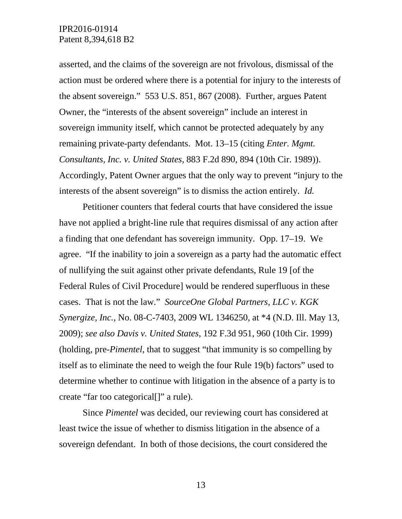asserted, and the claims of the sovereign are not frivolous, dismissal of the action must be ordered where there is a potential for injury to the interests of the absent sovereign." 553 U.S. 851, 867 (2008). Further, argues Patent Owner, the "interests of the absent sovereign" include an interest in sovereign immunity itself, which cannot be protected adequately by any remaining private-party defendants. Mot. 13–15 (citing *Enter. Mgmt. Consultants, Inc. v. United States*, 883 F.2d 890, 894 (10th Cir. 1989)). Accordingly, Patent Owner argues that the only way to prevent "injury to the interests of the absent sovereign" is to dismiss the action entirely. *Id.*

Petitioner counters that federal courts that have considered the issue have not applied a bright-line rule that requires dismissal of any action after a finding that one defendant has sovereign immunity. Opp. 17–19. We agree. "If the inability to join a sovereign as a party had the automatic effect of nullifying the suit against other private defendants, Rule 19 [of the Federal Rules of Civil Procedure] would be rendered superfluous in these cases. That is not the law." *SourceOne Global Partners, LLC v. KGK Synergize, Inc.*, No. 08-C-7403, 2009 WL 1346250, at \*4 (N.D. Ill. May 13, 2009); *see also Davis v. United States*, 192 F.3d 951, 960 (10th Cir. 1999) (holding, pre-*Pimentel*, that to suggest "that immunity is so compelling by itself as to eliminate the need to weigh the four Rule 19(b) factors" used to determine whether to continue with litigation in the absence of a party is to create "far too categorical[]" a rule).

Since *Pimentel* was decided, our reviewing court has considered at least twice the issue of whether to dismiss litigation in the absence of a sovereign defendant. In both of those decisions, the court considered the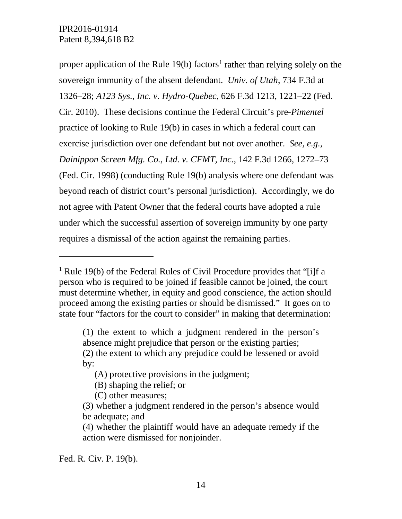proper application of the Rule [1](#page-13-0)9(b) factors<sup>1</sup> rather than relying solely on the sovereign immunity of the absent defendant. *Univ. of Utah*, 734 F.3d at 1326–28; *A123 Sys., Inc. v. Hydro-Quebec*, 626 F.3d 1213, 1221–22 (Fed. Cir. 2010). These decisions continue the Federal Circuit's pre-*Pimentel* practice of looking to Rule 19(b) in cases in which a federal court can exercise jurisdiction over one defendant but not over another. *See, e.g.*, *Dainippon Screen Mfg. Co., Ltd. v. CFMT, Inc.*, 142 F.3d 1266, 1272–73 (Fed. Cir. 1998) (conducting Rule 19(b) analysis where one defendant was beyond reach of district court's personal jurisdiction). Accordingly, we do not agree with Patent Owner that the federal courts have adopted a rule under which the successful assertion of sovereign immunity by one party requires a dismissal of the action against the remaining parties.

 $\overline{a}$ 

<span id="page-13-0"></span><sup>&</sup>lt;sup>1</sup> Rule 19(b) of the Federal Rules of Civil Procedure provides that "[i]f a person who is required to be joined if feasible cannot be joined, the court must determine whether, in equity and good conscience, the action should proceed among the existing parties or should be dismissed." It goes on to state four "factors for the court to consider" in making that determination:

<sup>(1)</sup> the extent to which a judgment rendered in the person's absence might prejudice that person or the existing parties;

<sup>(2)</sup> the extent to which any prejudice could be lessened or avoid by:

<sup>(</sup>A) protective provisions in the judgment;

<sup>(</sup>B) shaping the relief; or

<sup>(</sup>C) other measures;

<sup>(3)</sup> whether a judgment rendered in the person's absence would be adequate; and

<sup>(4)</sup> whether the plaintiff would have an adequate remedy if the action were dismissed for nonjoinder.

Fed. R. Civ. P. 19(b).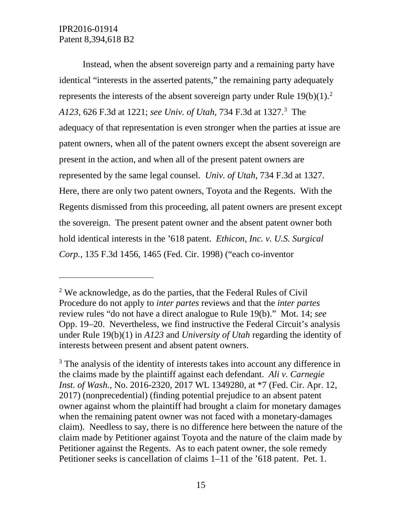$\overline{a}$ 

Instead, when the absent sovereign party and a remaining party have identical "interests in the asserted patents," the remaining party adequately represents the interests of the absent sovereign party under Rule  $19(b)(1)$ .<sup>[2](#page-14-0)</sup> *A123*, 626 F.3d at 1221; *see Univ. of Utah*, 734 F.3d at 1327.[3](#page-14-1) The adequacy of that representation is even stronger when the parties at issue are patent owners, when all of the patent owners except the absent sovereign are present in the action, and when all of the present patent owners are represented by the same legal counsel. *Univ. of Utah*, 734 F.3d at 1327. Here, there are only two patent owners, Toyota and the Regents. With the Regents dismissed from this proceeding, all patent owners are present except the sovereign. The present patent owner and the absent patent owner both hold identical interests in the '618 patent. *Ethicon, Inc. v. U.S. Surgical Corp.*, 135 F.3d 1456, 1465 (Fed. Cir. 1998) ("each co-inventor

<span id="page-14-0"></span> $2$  We acknowledge, as do the parties, that the Federal Rules of Civil Procedure do not apply to *inter partes* reviews and that the *inter partes* review rules "do not have a direct analogue to Rule 19(b)." Mot. 14; *see* Opp. 19–20. Nevertheless, we find instructive the Federal Circuit's analysis under Rule 19(b)(1) in *A123* and *University of Utah* regarding the identity of interests between present and absent patent owners.

<span id="page-14-1"></span><sup>&</sup>lt;sup>3</sup> The analysis of the identity of interests takes into account any difference in the claims made by the plaintiff against each defendant. *Ali v. Carnegie Inst. of Wash.*, No. 2016-2320, 2017 WL 1349280, at \*7 (Fed. Cir. Apr. 12, 2017) (nonprecedential) (finding potential prejudice to an absent patent owner against whom the plaintiff had brought a claim for monetary damages when the remaining patent owner was not faced with a monetary-damages claim). Needless to say, there is no difference here between the nature of the claim made by Petitioner against Toyota and the nature of the claim made by Petitioner against the Regents. As to each patent owner, the sole remedy Petitioner seeks is cancellation of claims 1–11 of the '618 patent. Pet. 1.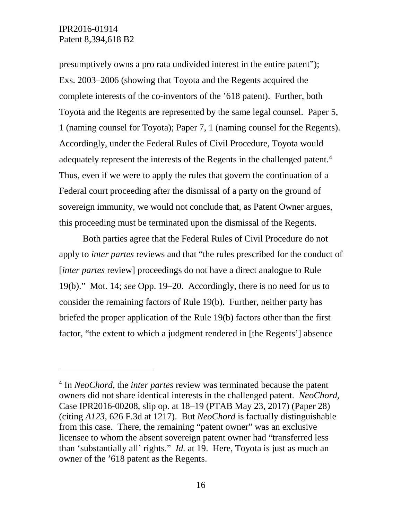$\overline{a}$ 

presumptively owns a pro rata undivided interest in the entire patent"); Exs. 2003–2006 (showing that Toyota and the Regents acquired the complete interests of the co-inventors of the '618 patent). Further, both Toyota and the Regents are represented by the same legal counsel. Paper 5, 1 (naming counsel for Toyota); Paper 7, 1 (naming counsel for the Regents). Accordingly, under the Federal Rules of Civil Procedure, Toyota would adequately represent the interests of the Regents in the challenged patent.<sup>4</sup> Thus, even if we were to apply the rules that govern the continuation of a Federal court proceeding after the dismissal of a party on the ground of sovereign immunity, we would not conclude that, as Patent Owner argues, this proceeding must be terminated upon the dismissal of the Regents.

Both parties agree that the Federal Rules of Civil Procedure do not apply to *inter partes* reviews and that "the rules prescribed for the conduct of [*inter partes* review] proceedings do not have a direct analogue to Rule 19(b)." Mot. 14; *see* Opp. 19–20. Accordingly, there is no need for us to consider the remaining factors of Rule 19(b). Further, neither party has briefed the proper application of the Rule 19(b) factors other than the first factor, "the extent to which a judgment rendered in [the Regents'] absence

<span id="page-15-0"></span><sup>4</sup> In *NeoChord*, the *inter partes* review was terminated because the patent owners did not share identical interests in the challenged patent. *NeoChord*, Case IPR2016-00208, slip op. at 18–19 (PTAB May 23, 2017) (Paper 28) (citing *A123*, 626 F.3d at 1217). But *NeoChord* is factually distinguishable from this case. There, the remaining "patent owner" was an exclusive licensee to whom the absent sovereign patent owner had "transferred less than 'substantially all' rights." *Id.* at 19. Here, Toyota is just as much an owner of the '618 patent as the Regents.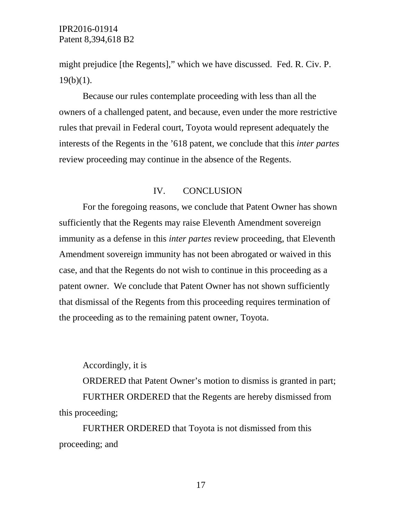might prejudice [the Regents]," which we have discussed. Fed. R. Civ. P.  $19(b)(1)$ .

Because our rules contemplate proceeding with less than all the owners of a challenged patent, and because, even under the more restrictive rules that prevail in Federal court, Toyota would represent adequately the interests of the Regents in the '618 patent, we conclude that this *inter partes* review proceeding may continue in the absence of the Regents.

#### IV. CONCLUSION

For the foregoing reasons, we conclude that Patent Owner has shown sufficiently that the Regents may raise Eleventh Amendment sovereign immunity as a defense in this *inter partes* review proceeding, that Eleventh Amendment sovereign immunity has not been abrogated or waived in this case, and that the Regents do not wish to continue in this proceeding as a patent owner. We conclude that Patent Owner has not shown sufficiently that dismissal of the Regents from this proceeding requires termination of the proceeding as to the remaining patent owner, Toyota.

Accordingly, it is ORDERED that Patent Owner's motion to dismiss is granted in part; FURTHER ORDERED that the Regents are hereby dismissed from this proceeding;

FURTHER ORDERED that Toyota is not dismissed from this proceeding; and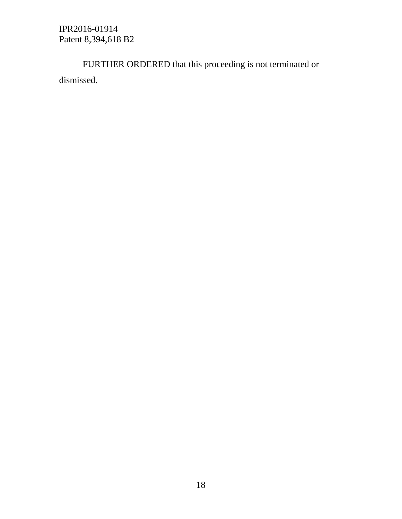FURTHER ORDERED that this proceeding is not terminated or dismissed.